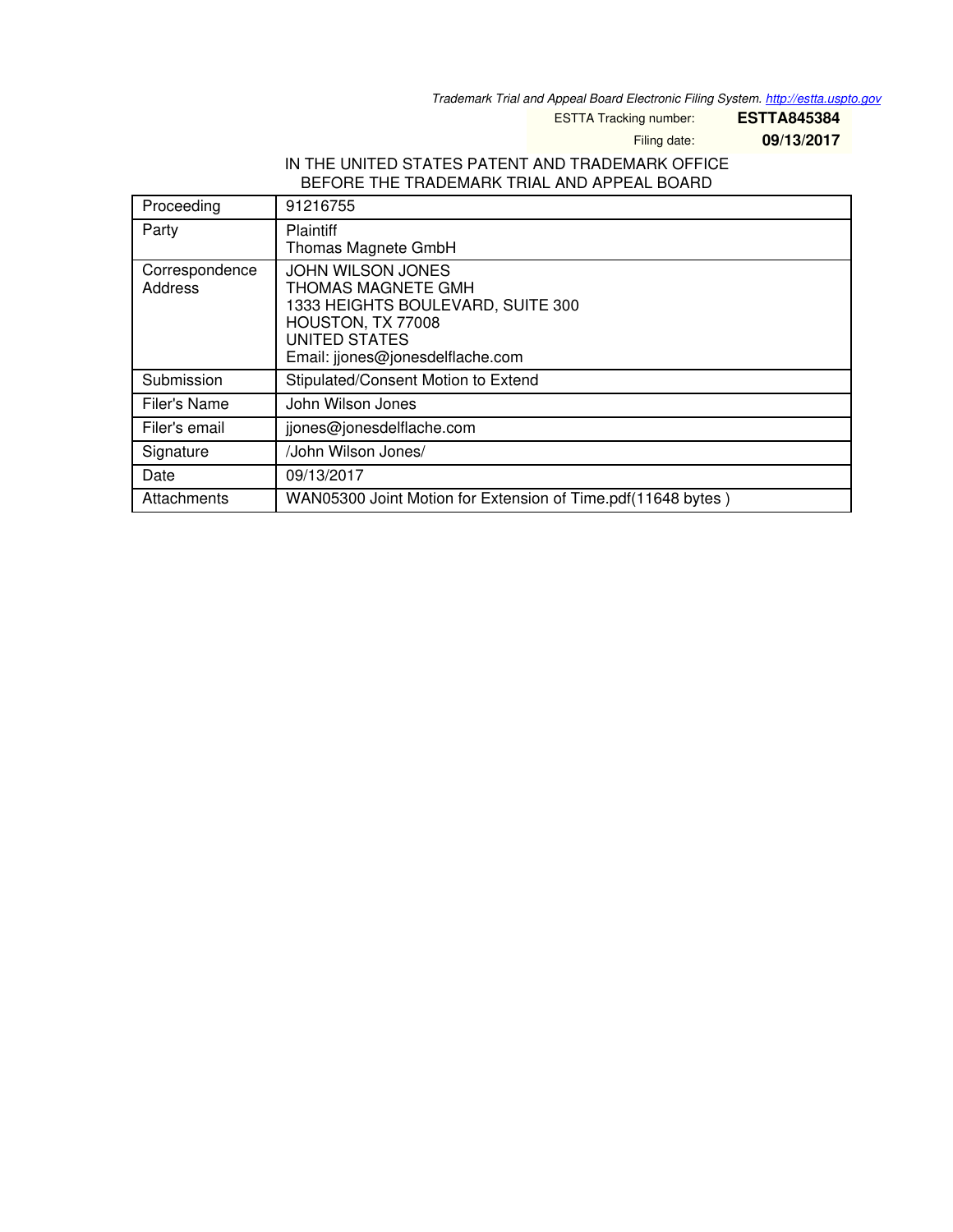*Trademark Trial and Appeal Board Electronic Filing System. <http://estta.uspto.gov>*

ESTTA Tracking number: **ESTTA845384**

Filing date: **09/13/2017**

## IN THE UNITED STATES PATENT AND TRADEMARK OFFICE BEFORE THE TRADEMARK TRIAL AND APPEAL BOARD

| Proceeding                | 91216755                                                                                                                                                             |
|---------------------------|----------------------------------------------------------------------------------------------------------------------------------------------------------------------|
| Party                     | Plaintiff<br><b>Thomas Magnete GmbH</b>                                                                                                                              |
| Correspondence<br>Address | <b>JOHN WILSON JONES</b><br>THOMAS MAGNETE GMH<br>1333 HEIGHTS BOULEVARD, SUITE 300<br>HOUSTON, TX 77008<br><b>UNITED STATES</b><br>Email: jjones@jonesdelflache.com |
| Submission                | Stipulated/Consent Motion to Extend                                                                                                                                  |
| Filer's Name              | John Wilson Jones                                                                                                                                                    |
| Filer's email             | jjones@jonesdelflache.com                                                                                                                                            |
| Signature                 | /John Wilson Jones/                                                                                                                                                  |
| Date                      | 09/13/2017                                                                                                                                                           |
| Attachments               | WAN05300 Joint Motion for Extension of Time.pdf(11648 bytes)                                                                                                         |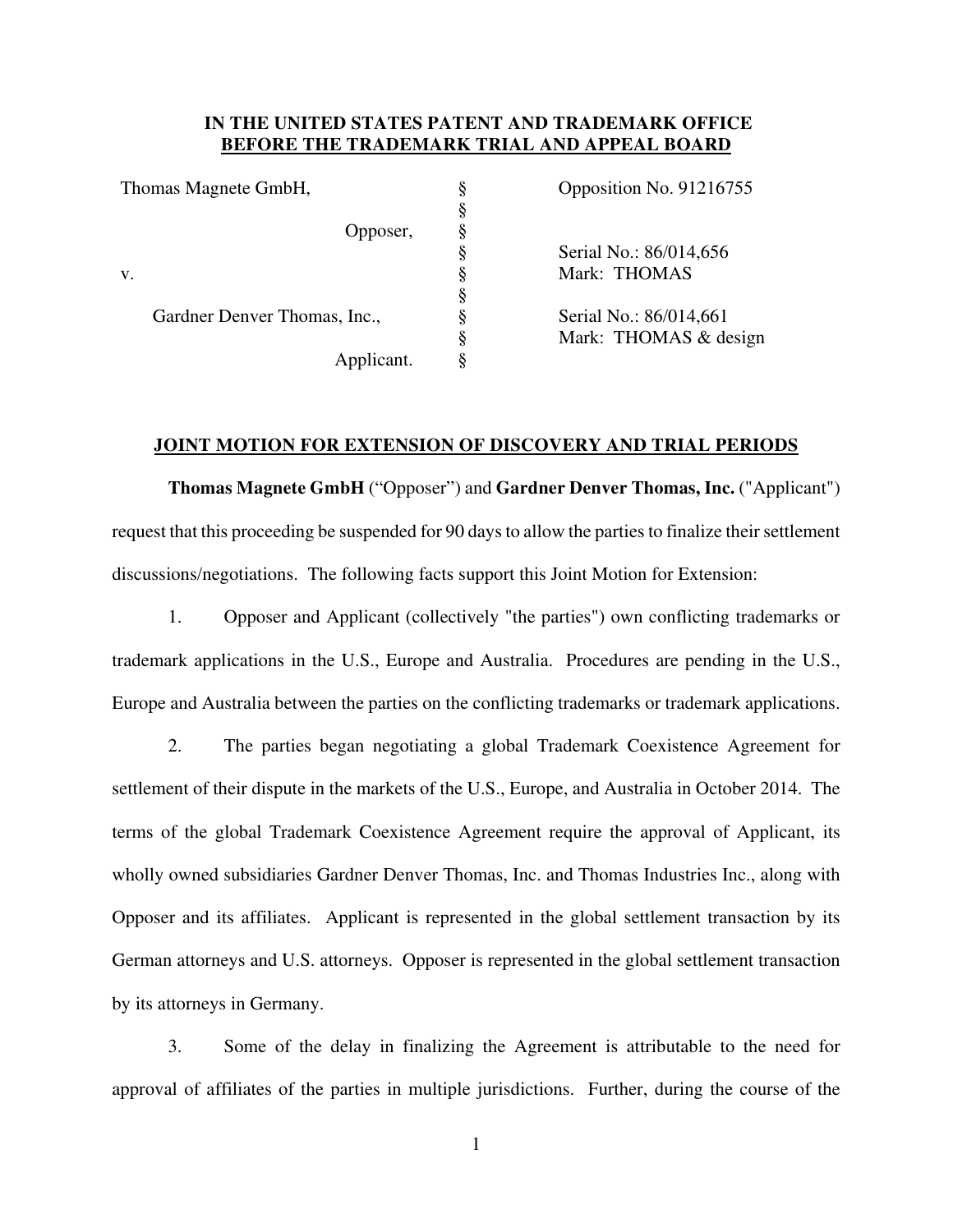## **IN THE UNITED STATES PATENT AND TRADEMARK OFFICE BEFORE THE TRADEMARK TRIAL AND APPEAL BOARD**

| Thomas Magnete GmbH, |                              | Š  | Opposition No. 91216755 |
|----------------------|------------------------------|----|-------------------------|
|                      |                              |    |                         |
|                      | Opposer,                     | 8  |                         |
|                      |                              | \$ | Serial No.: 86/014,656  |
| v.                   |                              | Š  | Mark: THOMAS            |
|                      |                              | ş  |                         |
|                      | Gardner Denver Thomas, Inc., |    | Serial No.: 86/014,661  |
|                      |                              | ş  | Mark: THOMAS & design   |
|                      | Applicant.                   |    |                         |
|                      |                              |    |                         |

## **JOINT MOTION FOR EXTENSION OF DISCOVERY AND TRIAL PERIODS**

**Thomas Magnete GmbH** ("Opposer") and **Gardner Denver Thomas, Inc.** ("Applicant") request that this proceeding be suspended for 90 days to allow the parties to finalize their settlement discussions/negotiations. The following facts support this Joint Motion for Extension:

1. Opposer and Applicant (collectively "the parties") own conflicting trademarks or trademark applications in the U.S., Europe and Australia. Procedures are pending in the U.S., Europe and Australia between the parties on the conflicting trademarks or trademark applications.

2. The parties began negotiating a global Trademark Coexistence Agreement for settlement of their dispute in the markets of the U.S., Europe, and Australia in October 2014. The terms of the global Trademark Coexistence Agreement require the approval of Applicant, its wholly owned subsidiaries Gardner Denver Thomas, Inc. and Thomas Industries Inc., along with Opposer and its affiliates. Applicant is represented in the global settlement transaction by its German attorneys and U.S. attorneys. Opposer is represented in the global settlement transaction by its attorneys in Germany.

3. Some of the delay in finalizing the Agreement is attributable to the need for approval of affiliates of the parties in multiple jurisdictions. Further, during the course of the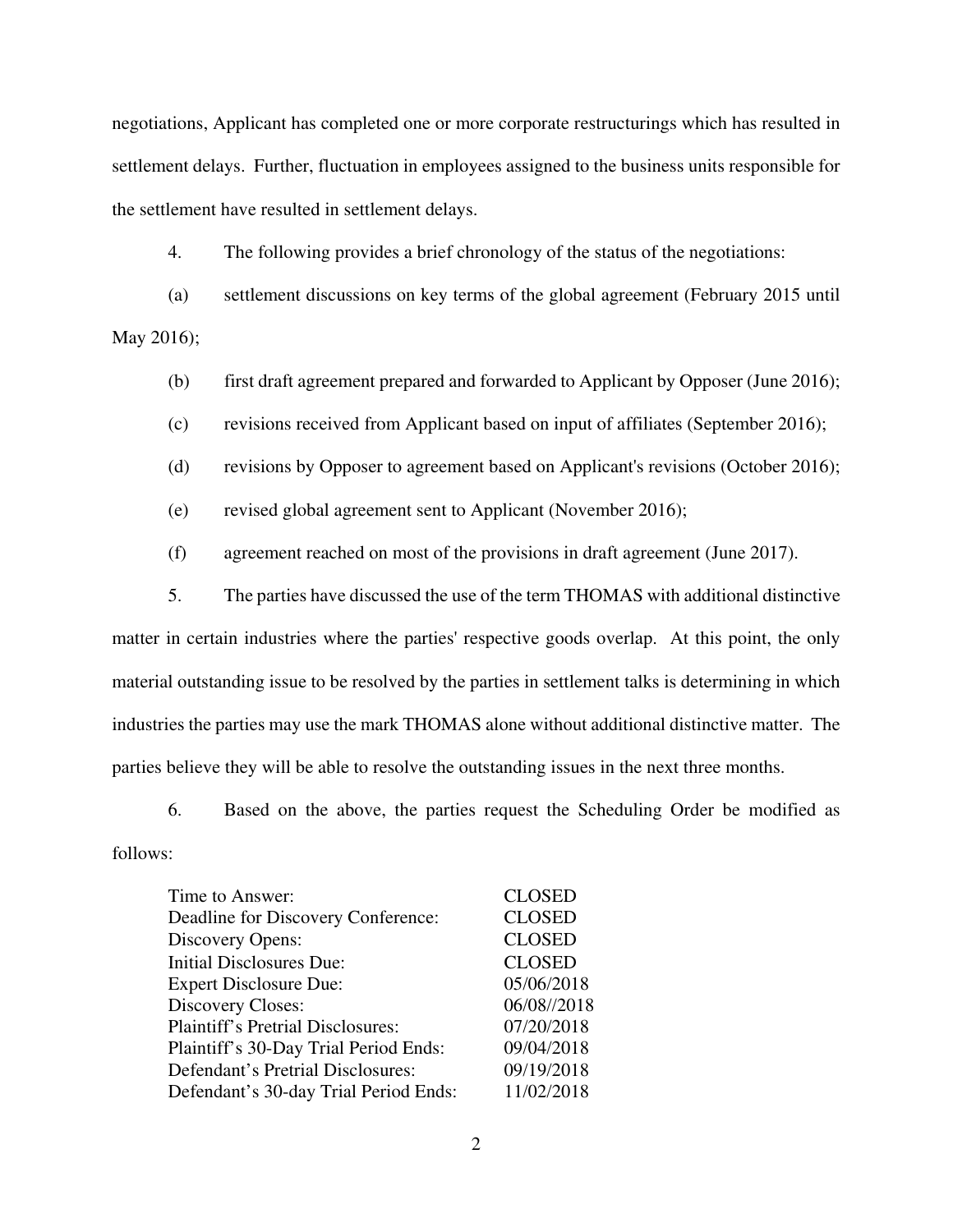negotiations, Applicant has completed one or more corporate restructurings which has resulted in settlement delays. Further, fluctuation in employees assigned to the business units responsible for the settlement have resulted in settlement delays.

4. The following provides a brief chronology of the status of the negotiations:

(a) settlement discussions on key terms of the global agreement (February 2015 until May 2016);

- (b) first draft agreement prepared and forwarded to Applicant by Opposer (June 2016);
- (c) revisions received from Applicant based on input of affiliates (September 2016);
- (d) revisions by Opposer to agreement based on Applicant's revisions (October 2016);
- (e) revised global agreement sent to Applicant (November 2016);
- (f) agreement reached on most of the provisions in draft agreement (June 2017).

5. The parties have discussed the use of the term THOMAS with additional distinctive

matter in certain industries where the parties' respective goods overlap. At this point, the only material outstanding issue to be resolved by the parties in settlement talks is determining in which industries the parties may use the mark THOMAS alone without additional distinctive matter. The parties believe they will be able to resolve the outstanding issues in the next three months.

6. Based on the above, the parties request the Scheduling Order be modified as follows:

| Time to Answer:                          | <b>CLOSED</b> |
|------------------------------------------|---------------|
| Deadline for Discovery Conference:       | <b>CLOSED</b> |
| Discovery Opens:                         | <b>CLOSED</b> |
| <b>Initial Disclosures Due:</b>          | <b>CLOSED</b> |
| <b>Expert Disclosure Due:</b>            | 05/06/2018    |
| <b>Discovery Closes:</b>                 | 06/08//2018   |
| <b>Plaintiff's Pretrial Disclosures:</b> | 07/20/2018    |
| Plaintiff's 30-Day Trial Period Ends:    | 09/04/2018    |
| Defendant's Pretrial Disclosures:        | 09/19/2018    |
| Defendant's 30-day Trial Period Ends:    | 11/02/2018    |